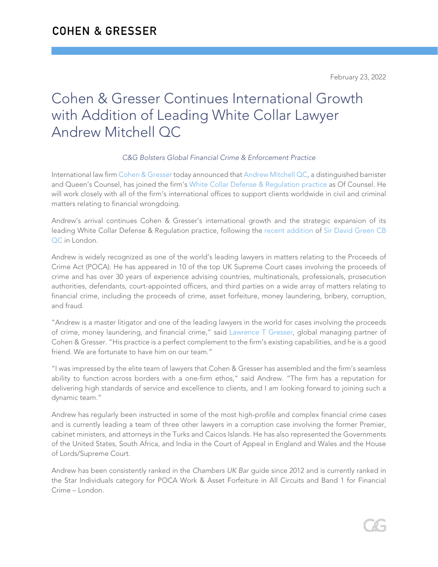# Cohen & Gresser Continues International Growth with Addition of Leading White Collar Lawyer Andrew Mitchell QC

#### *C&G Bolsters Global Financial Crime & Enforcement Practice*

International law fir[m Cohen & Gresser](https://www.cohengresser.com/) today announced tha[t Andrew Mitchell QC,](https://www.cohengresser.com/attorney/andrew-mitchell-qc/) a distinguished barrister and Queen's Counsel, has joined the firm'[s White Collar Defense & Regulation practice](https://www.cohengresser.com/practice_area/white-collar-defense/) as Of Counsel. He will work closely with all of the firm's international offices to support clients worldwide in civil and criminal matters relating to financial wrongdoing.

Andrew's arrival continues Cohen & Gresser's international growth and the strategic expansion of its leading White Collar Defense & Regulation practice, following the [recent addition](https://www.cohengresser.com/news_item/former-sfo-director-sir-david-green-cb-qc-joins-cohen-gresser-to-continue-its-expansion-of-white-collar-and-global-investigations-capabilities/) of [Sir David Green CB](https://www.cohengresser.com/attorney/sir-david-green-cb-qc/)  [QC](https://www.cohengresser.com/attorney/sir-david-green-cb-qc/) in London.

Andrew is widely recognized as one of the world's leading lawyers in matters relating to the Proceeds of Crime Act (POCA). He has appeared in 10 of the top UK Supreme Court cases involving the proceeds of crime and has over 30 years of experience advising countries, multinationals, professionals, prosecution authorities, defendants, court-appointed officers, and third parties on a wide array of matters relating to financial crime, including the proceeds of crime, asset forfeiture, money laundering, bribery, corruption, and fraud.

"Andrew is a master litigator and one of the leading lawyers in the world for cases involving the proceeds of crime, money laundering, and financial crime," said [Lawrence T Gresser,](https://www.cohengresser.com/attorney/lawrence-t-gresser/) global managing partner of Cohen & Gresser. "His practice is a perfect complement to the firm's existing capabilities, and he is a good friend. We are fortunate to have him on our team."

"I was impressed by the elite team of lawyers that Cohen & Gresser has assembled and the firm's seamless ability to function across borders with a one-firm ethos," said Andrew. "The firm has a reputation for delivering high standards of service and excellence to clients, and I am looking forward to joining such a dynamic team."

Andrew has regularly been instructed in some of the most high-profile and complex financial crime cases and is currently leading a team of three other lawyers in a corruption case involving the former Premier, cabinet ministers, and attorneys in the Turks and Caicos Islands. He has also represented the Governments of the United States, South Africa, and India in the Court of Appeal in England and Wales and the House of Lords/Supreme Court.

Andrew has been consistently ranked in the *Chambers UK Bar* guide since 2012 and is currently ranked in the Star Individuals category for POCA Work & Asset Forfeiture in All Circuits and Band 1 for Financial Crime – London.